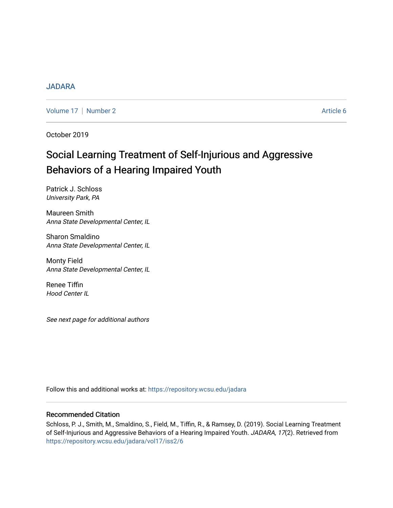## [JADARA](https://repository.wcsu.edu/jadara)

[Volume 17](https://repository.wcsu.edu/jadara/vol17) | [Number 2](https://repository.wcsu.edu/jadara/vol17/iss2) Article 6

October 2019

# Social Learning Treatment of Self-Injurious and Aggressive Behaviors of a Hearing Impaired Youth

Patrick J. Schloss University Park, PA

Maureen Smith Anna State Developmental Center, IL

Sharon Smaldino Anna State Developmental Center, IL

Monty Field Anna State Developmental Center, IL

Renee Tiffin Hood Center IL

See next page for additional authors

Follow this and additional works at: [https://repository.wcsu.edu/jadara](https://repository.wcsu.edu/jadara?utm_source=repository.wcsu.edu%2Fjadara%2Fvol17%2Fiss2%2F6&utm_medium=PDF&utm_campaign=PDFCoverPages)

## Recommended Citation

Schloss, P. J., Smith, M., Smaldino, S., Field, M., Tiffin, R., & Ramsey, D. (2019). Social Learning Treatment of Self-Injurious and Aggressive Behaviors of a Hearing Impaired Youth. JADARA, 17(2). Retrieved from [https://repository.wcsu.edu/jadara/vol17/iss2/6](https://repository.wcsu.edu/jadara/vol17/iss2/6?utm_source=repository.wcsu.edu%2Fjadara%2Fvol17%2Fiss2%2F6&utm_medium=PDF&utm_campaign=PDFCoverPages)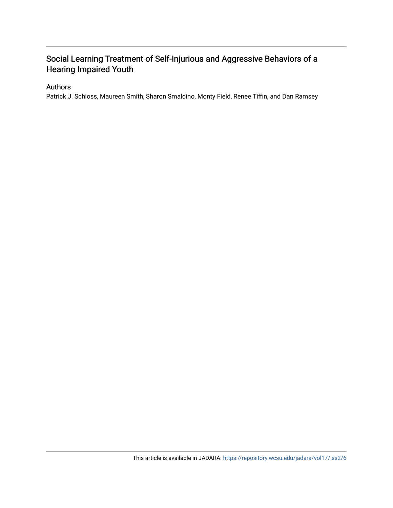## Social Learning Treatment of Self-Injurious and Aggressive Behaviors of a Hearing Impaired Youth

## Authors

Patrick J. Schloss, Maureen Smith, Sharon Smaldino, Monty Field, Renee Tiffin, and Dan Ramsey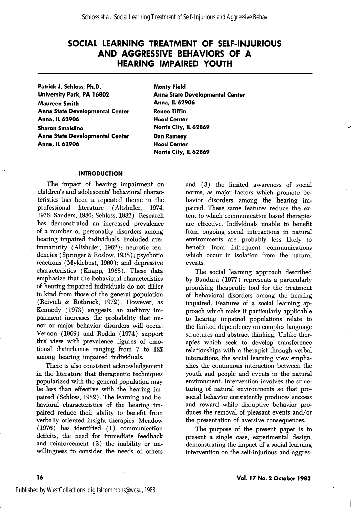Patrick J. Schloss, Ph.D. University Park, PA 16802 Maureen Smith Anna State Developmental Center Anna, IL 62906 Sharon Smaldino Anna State Developmental Center Anna, IL 62906

Monty Field Anna State Developmental Center Anna, IL 62906 Renee Tiffin Hood Center Norris City, IL 62869 Dan Ramsey Hood Center Norris City, IL 62869

#### INTRODUCTION

The impact of hearing impairment on children's and adolescents' behavioral charac teristics has been a repeated theme in the professional literature (Altshuler, 1974, 1976; Sanders, 1980; Schloss, 1982). Research has demonstrated an increased prevalence of a number of personality disorders among hearing impaired individuals. Included are: immaturity (Altshuler, 1962); neurotic tendencies (Springer & Roslow, 1938); psychotic reactions (Myklebust, 1960); and depressive characteristics (Knapp, 1968). These data emphasize that the behavioral characteristics of hearing impaired individuals do not differ in kind from those of the general population (Reivich & Rothrock, 1972). However, as Kennedy (1973) suggests, an auditory im pairment increases the probability that mi nor or major behavior disorders wiU occur. Vernon (1969) and Rodda (1974) support this view with prevalence figures of emo tional disturbance ranging from 7 to 12% among hearing impaired individuals.

There is also consistent acknowledgement in the literature that therapeutic techniques popularized with the general population may be less than effective with the hearing im paired (Schloss, 1982). The learning and be havioral characteristics of the hearing im paired reduce their ability to benefit from verbally oriented insight therapies. Meadow (1976) has identified (1) communication deficits, the need for immediate feedback and reinforcement (2) the inability or un willingness to consider the needs of others

and (3) the limited awareness of social norms, as major factors which promote be havior disorders among the hearing im paired. These same features reduce the ex tent to which communication based therapies are effective. Individuals unable to benefit from ongoing social interactions in natural environments are probably less likely to benefit from infrequent communications which occur in isolation from the natural events.

The social learning approach described by Bandura (1977) represents a particularly promising theapeutic tool for the treatment of behavioral disorders among the hearing impaired. Features of a social learning ap proach which make it particularly applicable to hearing impaired populations relate to the limited dependency on complex language structures and abstract thinking. Unlike ther apies which seek to develop transference relationships with a therapist through verbal interactions, the social learning view empha sizes the continuous interaction between the youth and people and events in the natural environment. Intervention involves the struc turing of natural environments so that prosocial behavior consistently produces success and reward while disruptive behavior pro duces the removal of pleasant events and/or the presentation of aversive consequences.

The purpose of the present paper is to present a single case, experimental design, demonstrating the impact of a social learning intervention on the self-injurious and aggres-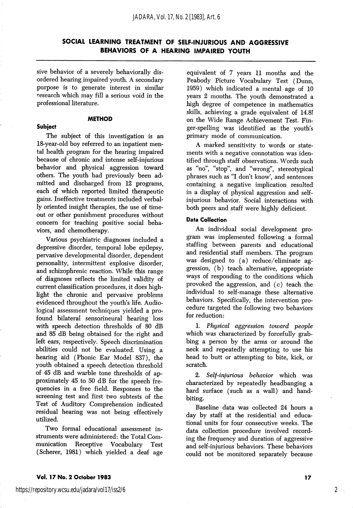sive behavior of a severely behaviorally dis ordered hearing impaired youth. A secondary purpose is to generate interest in similar research which may fill a serious void in the professional literature.

#### **METHOD**

#### Subject

The subject of this investigation is an 18-year-old boy referred to an inpatient men tal health program for the hearing impaired because of chronic and intense self-injurious behavior and physical aggression toward others. The youth had previously been ad mitted and discharged from 12 programs, each of which reported limited therapeutic gains. Ineffective treatments included verbal ly oriented insight therapies, the use of time out or other punishment procedures without concern for teaching positive social beha viors, and chemotherapy.

Various psychiatric diagnoses included a depressive disorder, temporal lobe epilepsy, pervasive developmental disorder, dependent personality, intermittent explosive disorder, and schizophrenic reaction. While this range of diagnoses reflects the limited validity of current classification procedures, it does high light the chronic and pervasive problems evidenced throughout the youth's life. Audiological assessment techniques yielded a pro found bilateral sensorineural hearing loss with speech detection thresholds of 80 dB and 85 dB being obtained for the right and left ears, respectively. Speech discrimination abilities could not be evaluated. Using a hearing aid (Phonic Ear Model 837), the youth obtained a speech detection threshold of 45 dB and warble tone thresholds of ap proximately 45 to 50 dB for the speech fre quencies in a free field. Responses to the screening test and first two subtests of the Test of Auditory Comprehension indicated residual hearing was not being effectively utilized.

Two formal educational assessment in struments were administered: the Total Com Receptive Vocabulary Test (Scherer, 1981) which yielded a deaf age

equivalent of 7 years 11 months and the Peabody Picture Vocabulary Test (Dunn, 1959) which indicated a mental age of 10 years 2 months. The youth demonstrated a high degree of competence in mathematics skills, achieving a grade equivalent of 14.8! on the Wide Range Achievement Test. Fin ger-spelling was identified as the youth's primary mode of communication.

A marked sensitivity to words or state ments with a negative connotation was iden tified through staff observations. Words such as "no", "stop", and "wrong", stereotypical phrases such as "I don't know', and sentences containing a negative implication resulted in a display of physical aggression and selfinjurious behavior. Social interactions with both peers and staff were highly deficient.

#### Data Collection

An individual social development pro gram was implemented following a formal staffing between parents and educational and residential staff members. The program was designed to (a) reduce/eliminate ag gression, (b) teach alternative, appropriate ways of responding to the conditions which provoked the aggression, and (c) teach the individual to self-manage these alternative behaviors. Specifically, the intervention pro cedure targeted the following two behaviors for reduction:

1. Physical aggression toward people which was characterized by forcefully grab bing a person by the arms or around the neck and repeatedly attempting to use his head to butt or attempting to bite, kick, or scratch.

2. Self-injurious behavior which was characterized by repeatedly headbanging a hard surface (such as a wall) and handbiting.

Baseline data was collected 24 hours a day by staff at the residential and educa tional units for four consecutive weeks. The data collection procedure involved record ing the frequency and duration of aggressive and self-injurious behaviors. These behaviors could not be monitored separately because

#### Vol. 17 No. 2 October 1983 17

2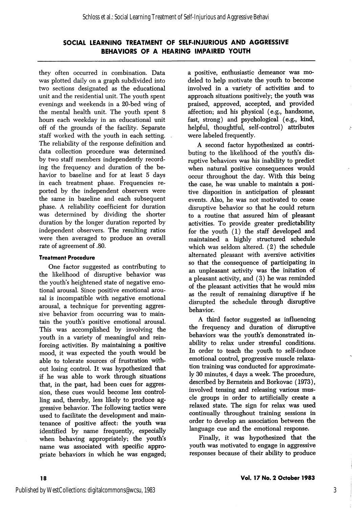they often occurred in combination. Data was plotted daily on a graph subdivided into two sections designated as the educational unit and the residential unit. The youth spent evenings and weekends in a 20-bed wing of the mental health unit. The youth spent 8 hours each weekday in an educational unit off of the grounds of the facility. Separate staff worked with the youth in each setting. The reliability of the response definition and data collection procedure was determined by two staff members independently record ing the frequency and duration of the be havior to baseline and for at least 5 days in each treatment phase. Frequencies re ported by the independent observers were the same in baseline and each subsequent phase. A reliability coefficient for duration was determined by dividing the shorter duration by the longer duration reported by independent observers. The resulting ratios were then averaged to produce an overall rate of agreement of .80.

#### Treatment Procedure

One factor suggested as contributing to the likelihood of disruptive behavior was the youth's heightened state of negative emo tional arousal. Since positive emotional arou sal is incompatible with negative emotional arousal, a technique for preventing aggres sive behavior from occurring was to main tain the youth's positive emotional arousal. This was accomplished by involving the youth in a variety of meaningful and rein forcing activities. By maintaining a positive mood, it was expected the youth would be able to tolerate sources of frustration with out losing control. It was hypothesized that if he was able to work through situations that, in the past, had been cues for aggres sion, these cues would become less control ling and, thereby, less likely to produce ag gressive behavior. The following tactics were used to facilitate the development and main tenance of positive affect: the youth was identified by name frequently, especially when behaving appropriately; the youth's name was associated with specific appro priate behaviors in which he was engaged;

a positive, enthusiastic demeanor was mo deled to help motivate the youth to become involved in a variety of activities and to approach situations positively; the youth was praised, approved, accepted, and provided affection; and his physical (e.g., handsome, fast, strong) and psychological (e.g., kind, helpful, thoughtful, self-control) attributes were labeled frequently.

A second factor hypothesized as contri buting to the likelihood of the youth's dis ruptive behaviors was his inability to predict when natural positive consequences would occur throughout the day. With this being the case, he was unable to maintain a posi tive disposition in anticipation of pleasant events. Also, he was not motivated to cease disruptive behavior so that he could return to a routine that assured him of pleasant activities. To provide greater predictability for the youth (1) the staff developed and maintained a highly structured schedule which was seldom altered. (2) the schedule alternated pleasant with aversive activities so that the consequence of participating in an unpleasant activity was the initation of a pleasant activity, and (3) he was reminded of the pleasant activities that he would miss as the result of remaining disruptive if he disrupted the schedule through disruptive behavior.

A third factor suggested as influencing the frequency and duration of disruptive behaviors was the youth's demonstrated in ability to relax under stressful conditions. In order to teach the youth to self-induce emotional control, progressive muscle relaxa tion training was conducted for approximate ly 30 minutes, 4 days a week. The procedure, described by Bernstein and Borkovac (1973), involved tensing and releasing various mus cle groups in order to artificially create a relaxed state. The sign for relax was used continually throughout training sessions in order to develop an association between the language cue and the emotional response.

Finally, it was hypothesized that the youth was motivated to engage in aggressive responses because of their ability to produce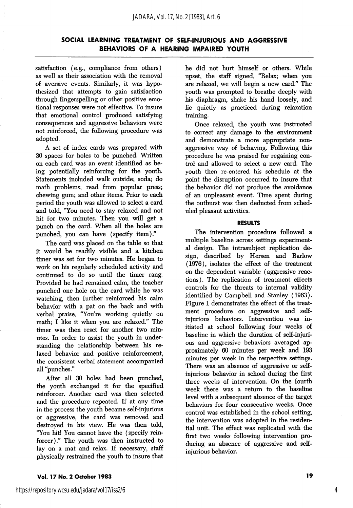satisfaction (e.g., compliance from others) as well as their association with the removal of aversive events. Similarly, it was hypo thesized that attempts to gain satisfaction through fingerspelling or other positive emo tional responses were not effective. To insure that emotional control produced satisfying consequences and aggressive behaviors were not reinforced, the following procedure was adopted.

A set of index cards was prepared with 30 spaces for holes to be punched. Written on each card was an event identified as be ing potentially reinforcing for the youth. Statements included walk outside; soda; do math problems; read from popular press; chewing gum; and other items. Prior to each period the youth was allowed to select a card and told, "You need to stay relaxed and not hit for two minutes. Then you will get a punch on the card. When all the holes are punched, you can have (specify item)."

The card was placed on the table so that it would be readily visible and a kitchen timer was set for two minutes. He began to work on his regularly scheduled activity and continued to do so until the timer rang. Provided he had remained calm, the teacher punched one hole on the card while he was watching, then further reinforced his calm behavior with a pat on the back and with verbal praise, "You're working quietly on math; I like it when you are relaxed." The timer was then reset for another two min utes. In order to assist the youth in under standing the relationship between his re laxed behavior and positive reinforcement, the consistent verbal statement accompanied all "punches."

After all 30 holes had been punched, the youth exchanged it for the specified reinforcer. Another card was then selected and the procedure repeated. If at any time in the process the youth became self-injurious or aggressive, the card was removed and destroyed in his view. He was then told, "You hit! You cannot have the (specify reinforcer)." The youth was then instructed to lay on a mat and relax. If necessary, staff physically restrained the youth to insure that

he did not hurt himself or others. While upset, the staff signed, "Relax; when you are relaxed, we will begin a new card." The youth was prompted to breathe deeply with his diaphragm, shake his hand loosely, and lie quietly as practiced during relaxation training.

Once relaxed, the youth was instructed to correct any damage to the environment and demonstrate a more appropriate nonaggressive way of behaving. Following this procedure he was praised for regaining con trol and allowed to select a new card. The youth then re-entered his schedule at the point the disruption occurred to insure that the behavior did not produce the avoidance of an unpleasant event. Time spent during the outburst was then deducted from sched uled pleasant activities.

#### RESULTS

The intervention procedure followed a multiple baseline across settings experiment al design. The intrasubject replication de sign, described by Hersen and Barlow (1976), isolates the effect of the treatment on the dependent variable (aggressive reac tions). The replication of treatment effects controls for the threats to internal validity identified by Campbell and Stanley (1963). Figure 1 demonstrates the effect of the treat ment procedure on aggressive and selfinjurious behaviors. Intervention was in itiated at school following four weeks of baseline in which the duration of self-injuri ous and aggressive behaviors averaged ap proximately 60 minutes per week and 193 minutes per week in the respective settings. There was an absence of aggressive or selfinjurious behavior in school during the first three weeks of intervention. On the fourth week there was a return to the baseline level with a subsequent absence of the target behaviors for four consecutive weeks. Once control was established in the school setting, the intervention was adopted in the residen tial unit. The effect was replicated with the first two weeks following intervention pro ducing an absence of aggressive and selfinjurious behavior.

#### Vol. 17 No. 2 October 1983 19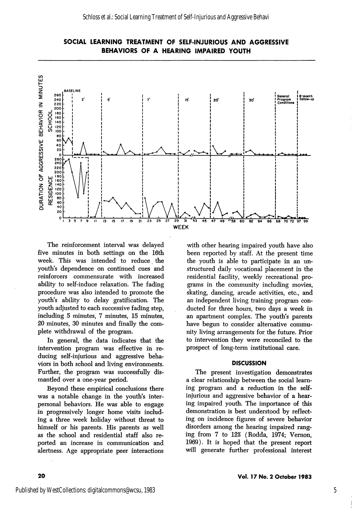



The reinforcement interval was delayed five minutes in both settings on the 16th week. This was intended to reduce the youth's dependence on continued cues and reinforcers commensurate with increased ability to self-induce relaxation. The fading procedure was also intended to promote the youth's ability to delay gratification. The youth adjusted to each successive fading step, including 5 minutes, 7 minutes, 15 minutes, 20 minutes, 30 minutes and finally the com plete withdrawal of the program.

In general, the data indicates that the intervention program was effective in re ducing self-injurious and aggressive beha viors in both school and living environments. Further, the program was successfully dis mantled over a one-year period.

Beyond these empirical conclusions there was a notable change in the youth's inter personal behaviors. He was able to engage in progressively longer home visits includ ing a three week holiday without threat to himself or his parents. His parents as well as the school and residential staff also re ported an increase in communication and alertness. Age appropriate peer interactions

with other hearing impaired youth have also been reported by staff. At the present time the youth is able to participate in an un structured daily vocational placement in the residential facility, weekly recreational pro grams in the community including movies, skating, dancing, arcade activities, etc., and an independent living training program con ducted for three hours, two days a week in an apartment complex. The youth's parents have begun to consider alternative commu nity living arrangements for the future. Prior to intervention they were reconciled to the prospect of long-term institutional care.

#### **DISCUSSION**

The present investigation demonstrates a clear relationship between the social learn ing program and a reduction in the selfinjurious and aggressive behavior of a hear ing impaired youth. The importance of this demonstration is best understood by reflect ing on incidence figures of severe behavior disorders among the hearing impaired rang ing from 7 to 12% (Rodda, 1974; Vemon, 1969). It is hoped that the present report will generate further professional interest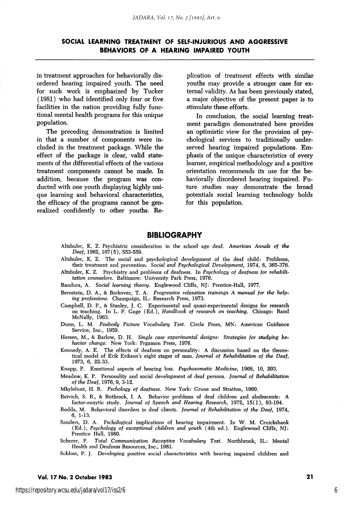in treatment approaches for behaviorally disordered hearing impaired youth. The need for such work is emphasized by Tucker (1981) who had identified only four or five facilities in the nation providing fully func tional mental health programs for this unique population.

The preceding demonstration is limited in that a number of components were in cluded in the treatment package. While the effect of the package is clear, valid state ments of the differential effects of the various treatment components cannot be made. In addition, because the program was con ducted with one youth displaying highly uni que learning and behavioral characteristics, the efficacy of the programs cannot be gen eralized confidently to other youths. Re plication of treatment effects with similar youths may provide a stronger case for ex ternal validity. As has been previously stated, a major objective of the present paper is to stimulate these efforts.

In conclusion, the social learning treat ment paradigm demonstrated here provides an optimistic view for the provision of psy chological services to traditionally underserved hearing impaired populations. Em phasis of the unique characteristics of every learner, empirical methodology and a positive orientation recommends its use for the behaviorally disordered hearing impaired. Fu ture studies may demonstrate the broad potentials social learning technology holds for this population.

#### BIBLIOGRAPHY

- Altshuler, K. Z. Psychiatric consideration in the school age deaf. American Annals of the Deaf, 1962, 107(5), 553-559.
- Altshuler, K. Z. The social and psychological development of the deaf child: Problems, their treatment and prevention. Social and Psychological Development, 1974, 8, 365-376.
- Altshuler, K. Z. Psychiatry and problems of deafness. In Psychology of deafness for rehabilitation counselors. Baltimore: University Park Press, 1976.
- Bandura, A. Social learning theory. Englewood Cliffs, NJ: Prentice-Hall, 1977.
- Bernstein, D. A., & Borkovec, T. A. Progressive relaxation trainings A manual for the help ing professions. Champaign, IL: Research Press, 1973.
- Campbell, D. P., & Stanley, J. C. Experimental and quasi-experimental designs for research on teaching. In L. P. Gage (Ed.), Handbook of research on teaching. Chicago: Rand McNally, 1963.
- Dunn, L. M. Peahody Picture Vocabulary Test. Circle Pines, MN: American Guidance Service, Inc., 1959.
- Hersen, M., & Barlow, D. H. Single case experimental designs: Strategies for studying behavior change. New York; Prgamon Press, 1976.
- Kennedy, A. E. The effects of deafness on personality: A discussion based on the theore tical model of Erik Erikson's eight stages of man. Journal of Rehabilitation of the Deaf, 1973, 6, 22-a3.
- Knapp, P. Emotional aspects of hearing loss. Psychosomatic Medicine, 1968, 10, 203.
- Meadow, K. P. Personality and social development of deaf persons. Journal of Rehabilitation of the Deaf, 1976, 9, 3-12.

Mkylebust, H. R. Pschology of deafness. New York: Grune and Stratton, 1960.

- Reivich, S. R., & Rothrock, I. A. Behavior problems of deaf children and abolescents: A factor-anaytic study. Journal of Speech and Hearing Research, 1972, 15(1), 93-104.
- Rodda, M. Behavioral disorders in deaf clients. Journal of Rehabilitation of the Deaf, 1974, 6, 1-13.
- Sanders, D. A. Pschological implications of hearing impairment. In W. M. Cruickshank (Ed.), Psychology of exceptional children and youth (4th ed.). Englewood Cliffs, NJ: Prentice Hall, 1980.
- Scherer, P. Total Communication Receptive Vocabulary Test. Northbrook, IL: Mental Health and Deafness Resources, Inc., 1981.

Schloss, P. J. Developing positive social characteristics with hearing impaired children and